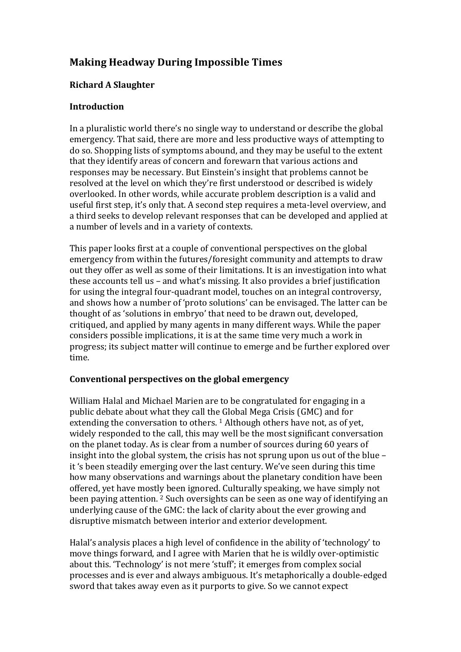# **Making Headway During Impossible Times**

## **Richard A Slaughter**

### **Introduction**

In a pluralistic world there's no single way to understand or describe the global emergency. That said, there are more and less productive ways of attempting to do so. Shopping lists of symptoms abound, and they may be useful to the extent that they identify areas of concern and forewarn that various actions and responses may be necessary. But Einstein's insight that problems cannot be resolved at the level on which they're first understood or described is widely overlooked. In other words, while accurate problem description is a valid and useful first step, it's only that. A second step requires a meta-level overview, and a third seeks to develop relevant responses that can be developed and applied at a number of levels and in a variety of contexts.

This paper looks first at a couple of conventional perspectives on the global emergency from within the futures/foresight community and attempts to draw out they offer as well as some of their limitations. It is an investigation into what these accounts tell us – and what's missing. It also provides a brief justification for using the integral four-quadrant model, touches on an integral controversy, and shows how a number of 'proto solutions' can be envisaged. The latter can be thought of as 'solutions in embryo' that need to be drawn out, developed, critiqued, and applied by many agents in many different ways. While the paper considers possible implications, it is at the same time very much a work in progress; its subject matter will continue to emerge and be further explored over time.

## Conventional perspectives on the global emergency

William Halal and Michael Marien are to be congratulated for engaging in a public debate about what they call the Global Mega Crisis (GMC) and for extending the conversation to others.  $1$  Although others have not, as of yet, widely responded to the call, this may well be the most significant conversation on the planet today. As is clear from a number of sources during 60 years of insight into the global system, the crisis has not sprung upon us out of the blue  $$ it 's been steadily emerging over the last century. We've seen during this time how many observations and warnings about the planetary condition have been offered, yet have mostly been ignored. Culturally speaking, we have simply not been paying attention.  $2$  Such oversights can be seen as one way of identifying an underlying cause of the GMC: the lack of clarity about the ever growing and disruptive mismatch between interior and exterior development.

Halal's analysis places a high level of confidence in the ability of 'technology' to move things forward, and I agree with Marien that he is wildly over-optimistic about this. 'Technology' is not mere 'stuff'; it emerges from complex social processes and is ever and always ambiguous. It's metaphorically a double-edged sword that takes away even as it purports to give. So we cannot expect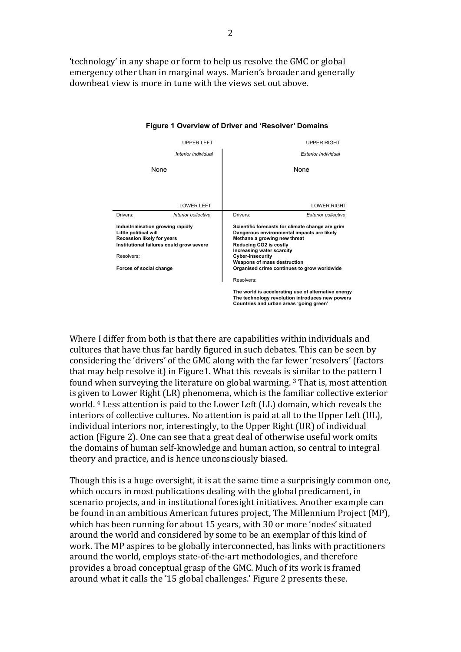'technology' in any shape or form to help us resolve the GMC or global emergency other than in marginal ways. Marien's broader and generally downbeat view is more in tune with the views set out above



#### **Figure 1 Overview of Driver and 'Resolver' Domains**

Where I differ from both is that there are capabilities within individuals and cultures that have thus far hardly figured in such debates. This can be seen by considering the 'drivers' of the GMC along with the far fewer 'resolvers' (factors that may help resolve it) in Figure1. What this reveals is similar to the pattern I found when surveying the literature on global warming.  $3$  That is, most attention is given to Lower Right (LR) phenomena, which is the familiar collective exterior world. <sup>4</sup> Less attention is paid to the Lower Left (LL) domain, which reveals the interiors of collective cultures. No attention is paid at all to the Upper Left (UL), individual interiors nor, interestingly, to the Upper Right (UR) of individual action (Figure 2). One can see that a great deal of otherwise useful work omits the domains of human self-knowledge and human action, so central to integral theory and practice, and is hence unconsciously biased.

Though this is a huge oversight, it is at the same time a surprisingly common one, which occurs in most publications dealing with the global predicament, in scenario projects, and in institutional foresight initiatives. Another example can be found in an ambitious American futures project, The Millennium Project (MP), which has been running for about 15 years, with 30 or more 'nodes' situated around the world and considered by some to be an exemplar of this kind of work. The MP aspires to be globally interconnected, has links with practitioners around the world, employs state-of-the-art methodologies, and therefore provides a broad conceptual grasp of the GMC. Much of its work is framed around what it calls the '15 global challenges.' Figure 2 presents these.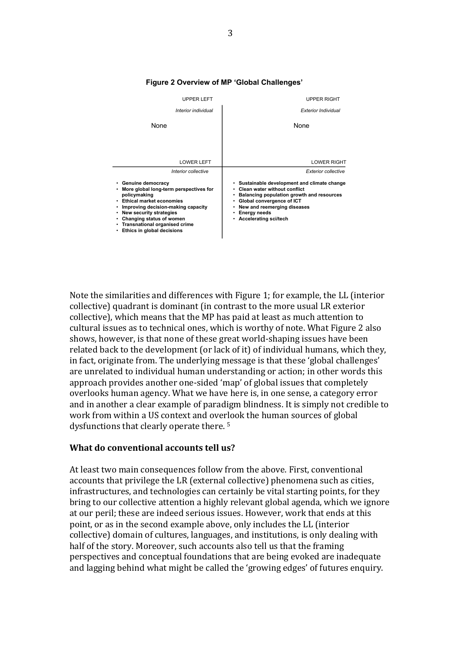

#### **Figure 2 Overview of MP 'Global Challenges'**

Note the similarities and differences with Figure 1; for example, the LL (interior collective) quadrant is dominant (in contrast to the more usual LR exterior collective), which means that the MP has paid at least as much attention to cultural issues as to technical ones, which is worthy of note. What Figure 2 also shows, however, is that none of these great world-shaping issues have been related back to the development (or lack of it) of individual humans, which they, in fact, originate from. The underlying message is that these 'global challenges' are unrelated to individual human understanding or action; in other words this approach provides another one-sided 'map' of global issues that completely overlooks human agency. What we have here is, in one sense, a category error and in another a clear example of paradigm blindness. It is simply not credible to work from within a US context and overlook the human sources of global dysfunctions that clearly operate there.<sup>5</sup>

#### **What do conventional accounts tell us?**

At least two main consequences follow from the above. First, conventional accounts that privilege the LR (external collective) phenomena such as cities, infrastructures, and technologies can certainly be vital starting points, for they bring to our collective attention a highly relevant global agenda, which we ignore at our peril; these are indeed serious issues. However, work that ends at this point, or as in the second example above, only includes the LL (interior collective) domain of cultures, languages, and institutions, is only dealing with half of the story. Moreover, such accounts also tell us that the framing perspectives and conceptual foundations that are being evoked are inadequate and lagging behind what might be called the 'growing edges' of futures enquiry.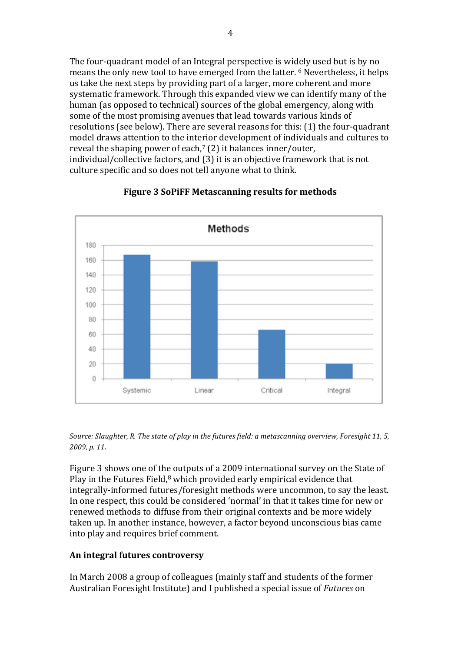The four-quadrant model of an Integral perspective is widely used but is by no means the only new tool to have emerged from the latter.  $6$  Nevertheless, it helps us take the next steps by providing part of a larger, more coherent and more systematic framework. Through this expanded view we can identify many of the human (as opposed to technical) sources of the global emergency, along with some of the most promising avenues that lead towards various kinds of resolutions (see below). There are several reasons for this: (1) the four-quadrant model draws attention to the interior development of individuals and cultures to reveal the shaping power of each,<sup> $7$ </sup> (2) it balances inner/outer, individual/collective factors, and (3) it is an objective framework that is not culture specific and so does not tell anyone what to think.



## **Figure 3 SoPiFF Metascanning results for methods**

Source: Slaughter, R. The state of play in the futures field: a metascanning overview, Foresight 11, 5, *2009, p. 11*.

Figure 3 shows one of the outputs of a 2009 international survey on the State of Play in the Futures Field, $8$  which provided early empirical evidence that integrally-informed futures/foresight methods were uncommon, to say the least. In one respect, this could be considered 'normal' in that it takes time for new or renewed methods to diffuse from their original contexts and be more widely taken up. In another instance, however, a factor beyond unconscious bias came into play and requires brief comment.

## **An integral futures controversy**

In March 2008 a group of colleagues (mainly staff and students of the former Australian Foresight Institute) and I published a special issue of *Futures* on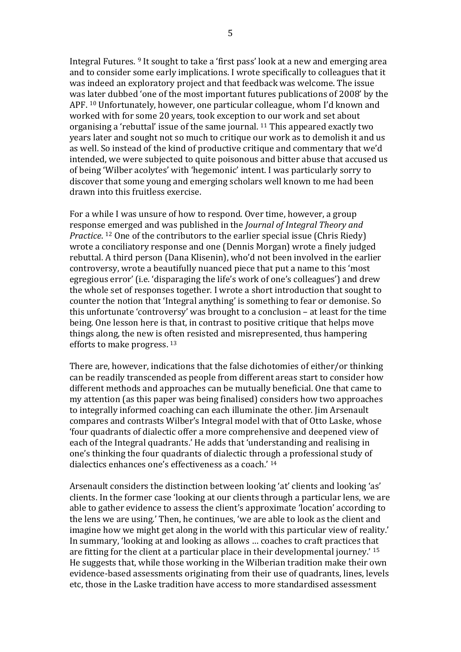Integral Futures. <sup>9</sup> It sought to take a 'first pass' look at a new and emerging area and to consider some early implications. I wrote specifically to colleagues that it was indeed an exploratory project and that feedback was welcome. The issue was later dubbed 'one of the most important futures publications of 2008' by the APF. <sup>10</sup> Unfortunately, however, one particular colleague, whom I'd known and worked with for some 20 years, took exception to our work and set about organising a 'rebuttal' issue of the same journal.  $11$  This appeared exactly two years later and sought not so much to critique our work as to demolish it and us as well. So instead of the kind of productive critique and commentary that we'd intended, we were subjected to quite poisonous and bitter abuse that accused us of being 'Wilber acolytes' with 'hegemonic' intent. I was particularly sorry to discover that some young and emerging scholars well known to me had been drawn into this fruitless exercise.

For a while I was unsure of how to respond. Over time, however, a group response emerged and was published in the *Journal of Integral Theory and Practice*. <sup>12</sup> One of the contributors to the earlier special issue (Chris Riedy) wrote a conciliatory response and one (Dennis Morgan) wrote a finely judged rebuttal. A third person (Dana Klisenin), who'd not been involved in the earlier controversy, wrote a beautifully nuanced piece that put a name to this 'most egregious error' (i.e. 'disparaging the life's work of one's colleagues') and drew the whole set of responses together. I wrote a short introduction that sought to counter the notion that 'Integral anything' is something to fear or demonise. So this unfortunate 'controversy' was brought to a conclusion  $-$  at least for the time being. One lesson here is that, in contrast to positive critique that helps move things along, the new is often resisted and misrepresented, thus hampering efforts to make progress. 13

There are, however, indications that the false dichotomies of either/or thinking can be readily transcended as people from different areas start to consider how different methods and approaches can be mutually beneficial. One that came to my attention (as this paper was being finalised) considers how two approaches to integrally informed coaching can each illuminate the other. I im Arsenault compares and contrasts Wilber's Integral model with that of Otto Laske, whose 'four quadrants of dialectic offer a more comprehensive and deepened view of each of the Integral quadrants.' He adds that 'understanding and realising in one's thinking the four quadrants of dialectic through a professional study of dialectics enhances one's effectiveness as a coach.'  $14$ 

Arsenault considers the distinction between looking 'at' clients and looking 'as' clients. In the former case 'looking at our clients through a particular lens, we are able to gather evidence to assess the client's approximate 'location' according to the lens we are using.' Then, he continues, 'we are able to look as the client and imagine how we might get along in the world with this particular view of reality.' In summary, 'looking at and looking as allows ... coaches to craft practices that are fitting for the client at a particular place in their developmental journey.'  $15$ He suggests that, while those working in the Wilberian tradition make their own evidence-based assessments originating from their use of quadrants, lines, levels etc, those in the Laske tradition have access to more standardised assessment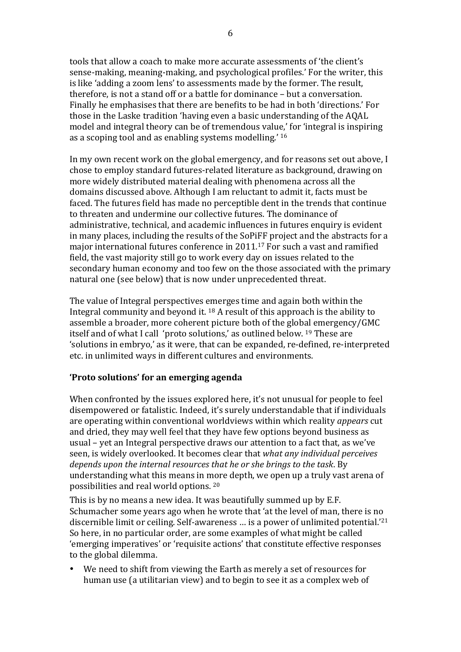tools that allow a coach to make more accurate assessments of 'the client's sense-making, meaning-making, and psychological profiles.' For the writer, this is like 'adding a zoom lens' to assessments made by the former. The result, therefore, is not a stand off or a battle for dominance – but a conversation. Finally he emphasises that there are benefits to be had in both 'directions.' For those in the Laske tradition 'having even a basic understanding of the AQAL model and integral theory can be of tremendous value,' for 'integral is inspiring as a scoping tool and as enabling systems modelling.'  $16$ 

In my own recent work on the global emergency, and for reasons set out above, I chose to employ standard futures-related literature as background, drawing on more widely distributed material dealing with phenomena across all the domains discussed above. Although I am reluctant to admit it, facts must be faced. The futures field has made no perceptible dent in the trends that continue to threaten and undermine our collective futures. The dominance of administrative, technical, and academic influences in futures enquiry is evident in many places, including the results of the SoPiFF project and the abstracts for a major international futures conference in  $2011$ .<sup>17</sup> For such a vast and ramified field, the vast majority still go to work every day on issues related to the secondary human economy and too few on the those associated with the primary natural one (see below) that is now under unprecedented threat.

The value of Integral perspectives emerges time and again both within the Integral community and beyond it.  $^{18}$  A result of this approach is the ability to assemble a broader, more coherent picture both of the global emergency/GMC itself and of what I call 'proto solutions,' as outlined below. <sup>19</sup> These are 'solutions in embryo,' as it were, that can be expanded, re-defined, re-interpreted etc. in unlimited ways in different cultures and environments.

#### **'Proto solutions' for an emerging agenda**

When confronted by the issues explored here, it's not unusual for people to feel disempowered or fatalistic. Indeed, it's surely understandable that if individuals are operating within conventional worldviews within which reality *appears* cut and dried, they may well feel that they have few options beyond business as usual – yet an Integral perspective draws our attention to a fact that, as we've seen, is widely overlooked. It becomes clear that *what any individual perceives* depends upon the internal resources that he or she brings to the task. By understanding what this means in more depth, we open up a truly vast arena of possibilities and real world options. 20

This is by no means a new idea. It was beautifully summed up by E.F. Schumacher some years ago when he wrote that 'at the level of man, there is no discernible limit or ceiling. Self-awareness  $\dots$  is a power of unlimited potential.<sup>'21</sup> So here, in no particular order, are some examples of what might be called 'emerging imperatives' or 'requisite actions' that constitute effective responses to the global dilemma.

We need to shift from viewing the Earth as merely a set of resources for human use (a utilitarian view) and to begin to see it as a complex web of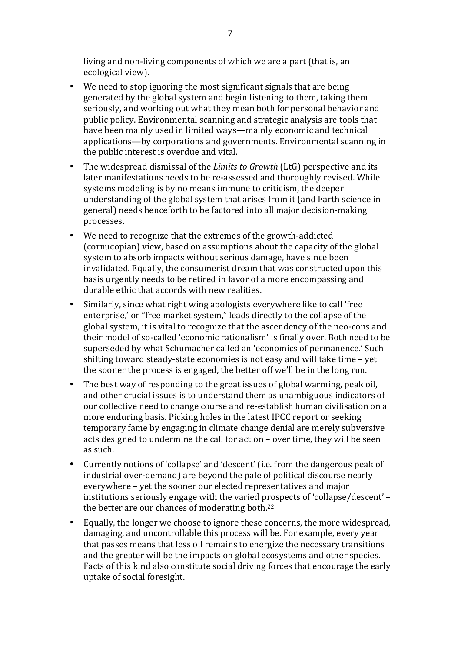living and non-living components of which we are a part (that is, an ecological view).

- We need to stop ignoring the most significant signals that are being generated by the global system and begin listening to them, taking them seriously, and working out what they mean both for personal behavior and public policy. Environmental scanning and strategic analysis are tools that have been mainly used in limited ways—mainly economic and technical applications—by corporations and governments. Environmental scanning in the public interest is overdue and vital.
- The widespread dismissal of the *Limits to Growth* (LtG) perspective and its later manifestations needs to be re-assessed and thoroughly revised. While systems modeling is by no means immune to criticism, the deeper understanding of the global system that arises from it (and Earth science in general) needs henceforth to be factored into all major decision-making processes.
- We need to recognize that the extremes of the growth-addicted (cornucopian) view, based on assumptions about the capacity of the global system to absorb impacts without serious damage, have since been invalidated. Equally, the consumerist dream that was constructed upon this basis urgently needs to be retired in favor of a more encompassing and durable ethic that accords with new realities.
- Similarly, since what right wing apologists everywhere like to call 'free enterprise,' or "free market system," leads directly to the collapse of the global system, it is vital to recognize that the ascendency of the neo-cons and their model of so-called 'economic rationalism' is finally over. Both need to be superseded by what Schumacher called an 'economics of permanence.' Such shifting toward steady-state economies is not easy and will take time  $-$  yet the sooner the process is engaged, the better off we'll be in the long run.
- The best way of responding to the great issues of global warming, peak oil, and other crucial issues is to understand them as unambiguous indicators of our collective need to change course and re-establish human civilisation on a more enduring basis. Picking holes in the latest IPCC report or seeking temporary fame by engaging in climate change denial are merely subversive acts designed to undermine the call for action – over time, they will be seen as such.
- Currently notions of 'collapse' and 'descent' (i.e. from the dangerous peak of industrial over-demand) are beyond the pale of political discourse nearly everywhere – yet the sooner our elected representatives and major institutions seriously engage with the varied prospects of 'collapse/descent' – the better are our chances of moderating both. $22$
- Equally, the longer we choose to ignore these concerns, the more widespread, damaging, and uncontrollable this process will be. For example, every year that passes means that less oil remains to energize the necessary transitions and the greater will be the impacts on global ecosystems and other species. Facts of this kind also constitute social driving forces that encourage the early uptake of social foresight.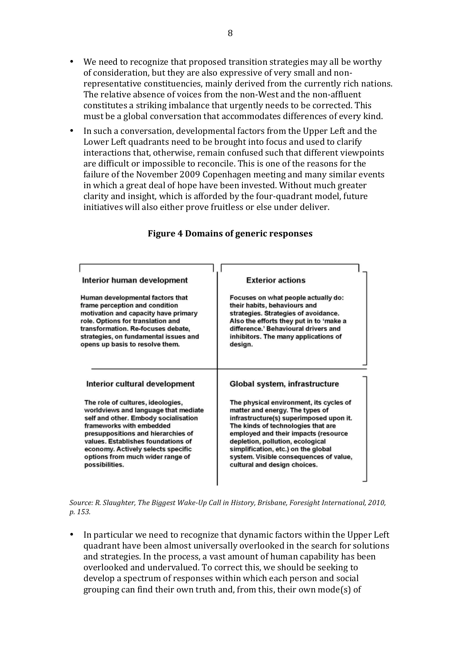- We need to recognize that proposed transition strategies may all be worthy of consideration, but they are also expressive of very small and nonrepresentative constituencies, mainly derived from the currently rich nations. The relative absence of voices from the non-West and the non-affluent constitutes a striking imbalance that urgently needs to be corrected. This must be a global conversation that accommodates differences of every kind.
- In such a conversation, developmental factors from the Upper Left and the Lower Left quadrants need to be brought into focus and used to clarify interactions that, otherwise, remain confused such that different viewpoints are difficult or impossible to reconcile. This is one of the reasons for the failure of the November 2009 Copenhagen meeting and many similar events in which a great deal of hope have been invested. Without much greater clarity and insight, which is afforded by the four-quadrant model, future initiatives will also either prove fruitless or else under deliver.

| Interior human development<br>Human developmental factors that<br>frame perception and condition<br>motivation and capacity have primary<br>role. Options for translation and<br>transformation. Re-focuses debate,<br>strategies, on fundamental issues and<br>opens up basis to resolve them.                                                        | <b>Exterior actions</b><br>Focuses on what people actually do:<br>their habits, behaviours and<br>strategies. Strategies of avoidance.<br>Also the efforts they put in to 'make a<br>difference.' Behavioural drivers and<br>inhibitors. The many applications of<br>design.                                                                                                              |  |
|--------------------------------------------------------------------------------------------------------------------------------------------------------------------------------------------------------------------------------------------------------------------------------------------------------------------------------------------------------|-------------------------------------------------------------------------------------------------------------------------------------------------------------------------------------------------------------------------------------------------------------------------------------------------------------------------------------------------------------------------------------------|--|
| Interior cultural development<br>The role of cultures, ideologies,<br>worldviews and language that mediate<br>self and other. Embody socialisation<br>frameworks with embedded<br>presuppositions and hierarchies of<br>values. Establishes foundations of<br>economy. Actively selects specific<br>options from much wider range of<br>possibilities. | Global system, infrastructure<br>The physical environment, its cycles of<br>matter and energy. The types of<br>infrastructure(s) superimposed upon it.<br>The kinds of technologies that are<br>employed and their impacts (resource<br>depletion, pollution, ecological<br>simplification, etc.) on the global<br>system. Visible consequences of value,<br>cultural and design choices. |  |

#### **Figure 4 Domains of generic responses**

Source: R. Slaughter, The Biggest Wake-Up Call in History, Brisbane, Foresight International, 2010, *p. 153.*

• In particular we need to recognize that dynamic factors within the Upper Left quadrant have been almost universally overlooked in the search for solutions and strategies. In the process, a vast amount of human capability has been overlooked and undervalued. To correct this, we should be seeking to develop a spectrum of responses within which each person and social grouping can find their own truth and, from this, their own mode(s) of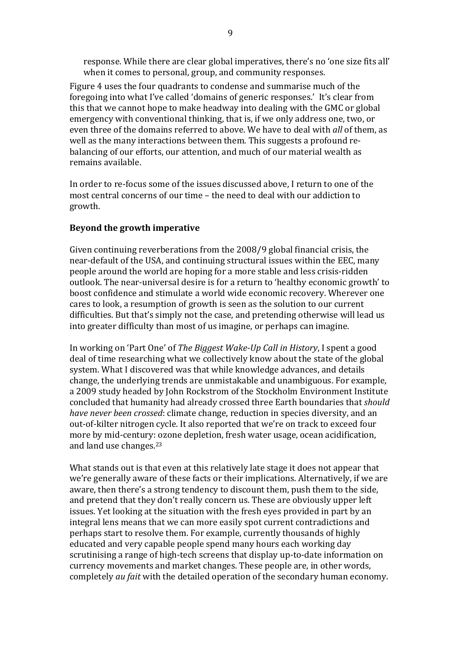response. While there are clear global imperatives, there's no 'one size fits all' when it comes to personal, group, and community responses.

Figure 4 uses the four quadrants to condense and summarise much of the foregoing into what I've called 'domains of generic responses.' It's clear from this that we cannot hope to make headway into dealing with the GMC or global emergency with conventional thinking, that is, if we only address one, two, or even three of the domains referred to above. We have to deal with *all* of them, as well as the many interactions between them. This suggests a profound rebalancing of our efforts, our attention, and much of our material wealth as remains available.

In order to re-focus some of the issues discussed above. I return to one of the most central concerns of our time  $-$  the need to deal with our addiction to growth.

#### **Beyond the growth imperative**

Given continuing reverberations from the  $2008/9$  global financial crisis, the near-default of the USA, and continuing structural issues within the EEC, many people around the world are hoping for a more stable and less crisis-ridden outlook. The near-universal desire is for a return to 'healthy economic growth' to boost confidence and stimulate a world wide economic recovery. Wherever one cares to look, a resumption of growth is seen as the solution to our current difficulties. But that's simply not the case, and pretending otherwise will lead us into greater difficulty than most of us imagine, or perhaps can imagine.

In working on 'Part One' of *The Biggest Wake-Up Call in History*, I spent a good deal of time researching what we collectively know about the state of the global system. What I discovered was that while knowledge advances, and details change, the underlying trends are unmistakable and unambiguous. For example, a 2009 study headed by John Rockstrom of the Stockholm Environment Institute concluded that humanity had already crossed three Earth boundaries that *should have never been crossed*: climate change, reduction in species diversity, and an out-of-kilter nitrogen cycle. It also reported that we're on track to exceed four more by mid-century: ozone depletion, fresh water usage, ocean acidification, and land use changes.<sup>23</sup>

What stands out is that even at this relatively late stage it does not appear that we're generally aware of these facts or their implications. Alternatively, if we are aware, then there's a strong tendency to discount them, push them to the side, and pretend that they don't really concern us. These are obviously upper left issues. Yet looking at the situation with the fresh eyes provided in part by an integral lens means that we can more easily spot current contradictions and perhaps start to resolve them. For example, currently thousands of highly educated and very capable people spend many hours each working day scrutinising a range of high-tech screens that display up-to-date information on currency movements and market changes. These people are, in other words, completely *au fait* with the detailed operation of the secondary human economy.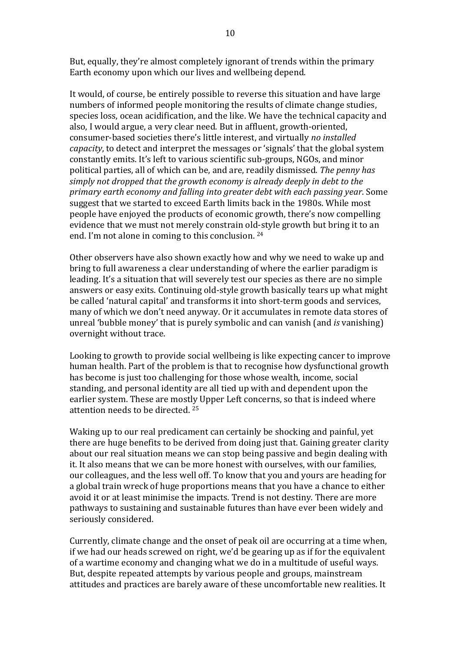But, equally, they're almost completely ignorant of trends within the primary Earth economy upon which our lives and wellbeing depend.

It would, of course, be entirely possible to reverse this situation and have large numbers of informed people monitoring the results of climate change studies, species loss, ocean acidification, and the like. We have the technical capacity and also, I would argue, a very clear need. But in affluent, growth-oriented, consumer-based societies there's little interest, and virtually no installed *capacity*, to detect and interpret the messages or 'signals' that the global system constantly emits. It's left to various scientific sub-groups, NGOs, and minor political parties, all of which can be, and are, readily dismissed. The penny has simply not dropped that the growth economy is already deeply in debt to the *primary earth economy and falling into greater debt with each passing year*. Some suggest that we started to exceed Earth limits back in the 1980s. While most people have enjoyed the products of economic growth, there's now compelling evidence that we must not merely constrain old-style growth but bring it to an end. I'm not alone in coming to this conclusion.  $24$ 

Other observers have also shown exactly how and why we need to wake up and bring to full awareness a clear understanding of where the earlier paradigm is leading. It's a situation that will severely test our species as there are no simple answers or easy exits. Continuing old-style growth basically tears up what might be called 'natural capital' and transforms it into short-term goods and services, many of which we don't need anyway. Or it accumulates in remote data stores of unreal 'bubble money' that is purely symbolic and can vanish (and *is* vanishing) overnight without trace.

Looking to growth to provide social wellbeing is like expecting cancer to improve human health. Part of the problem is that to recognise how dysfunctional growth has become is just too challenging for those whose wealth, income, social standing, and personal identity are all tied up with and dependent upon the earlier system. These are mostly Upper Left concerns, so that is indeed where attention needs to be directed.  $25$ 

Waking up to our real predicament can certainly be shocking and painful, yet there are huge benefits to be derived from doing just that. Gaining greater clarity about our real situation means we can stop being passive and begin dealing with it. It also means that we can be more honest with ourselves, with our families, our colleagues, and the less well off. To know that you and yours are heading for a global train wreck of huge proportions means that you have a chance to either avoid it or at least minimise the impacts. Trend is not destiny. There are more pathways to sustaining and sustainable futures than have ever been widely and seriously considered.

Currently, climate change and the onset of peak oil are occurring at a time when, if we had our heads screwed on right, we'd be gearing up as if for the equivalent of a wartime economy and changing what we do in a multitude of useful ways. But, despite repeated attempts by various people and groups, mainstream attitudes and practices are barely aware of these uncomfortable new realities. It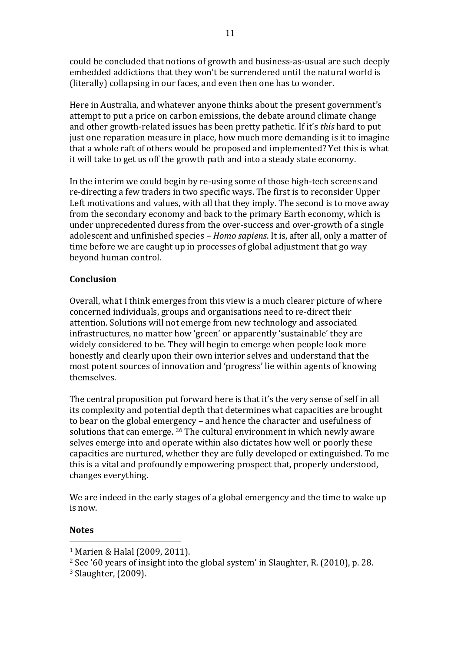could be concluded that notions of growth and business-as-usual are such deeply embedded addictions that they won't be surrendered until the natural world is (literally) collapsing in our faces, and even then one has to wonder.

Here in Australia, and whatever anyone thinks about the present government's attempt to put a price on carbon emissions, the debate around climate change and other growth-related issues has been pretty pathetic. If it's *this* hard to put just one reparation measure in place, how much more demanding is it to imagine that a whole raft of others would be proposed and implemented? Yet this is what it will take to get us off the growth path and into a steady state economy.

In the interim we could begin by re-using some of those high-tech screens and re-directing a few traders in two specific ways. The first is to reconsider Upper Left motivations and values, with all that they imply. The second is to move away from the secondary economy and back to the primary Earth economy, which is under unprecedented duress from the over-success and over-growth of a single adolescent and unfinished species – *Homo sapiens*. It is, after all, only a matter of time before we are caught up in processes of global adjustment that go way beyond human control.

### **Conclusion**

Overall, what I think emerges from this view is a much clearer picture of where concerned individuals, groups and organisations need to re-direct their attention. Solutions will not emerge from new technology and associated infrastructures, no matter how 'green' or apparently 'sustainable' they are widely considered to be. They will begin to emerge when people look more honestly and clearly upon their own interior selves and understand that the most potent sources of innovation and 'progress' lie within agents of knowing themselves. 

The central proposition put forward here is that it's the very sense of self in all its complexity and potential depth that determines what capacities are brought to bear on the global emergency – and hence the character and usefulness of solutions that can emerge.  $26$  The cultural environment in which newly aware selves emerge into and operate within also dictates how well or poorly these capacities are nurtured, whether they are fully developed or extinguished. To me this is a vital and profoundly empowering prospect that, properly understood, changes everything.

We are indeed in the early stages of a global emergency and the time to wake up is now.

### **Notes**

 <sup>1</sup> Marien & Halal (2009, 2011).

 $2$  See '60 years of insight into the global system' in Slaughter, R. (2010), p. 28.

 $3$  Slaughter,  $(2009)$ .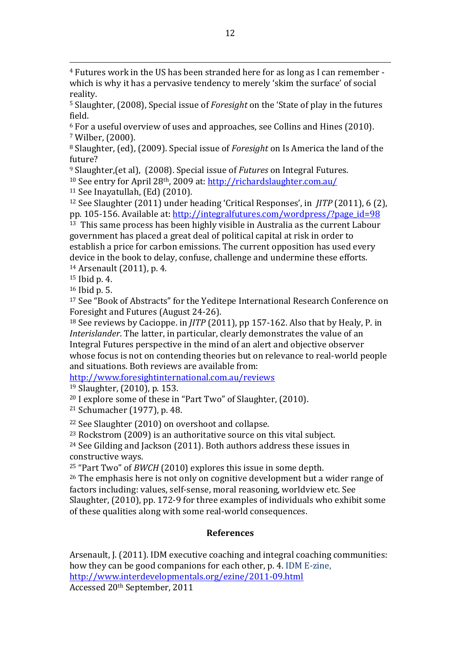$4$  Futures work in the US has been stranded here for as long as I can remember which is why it has a pervasive tendency to merely 'skim the surface' of social reality.

<sup>5</sup> Slaughter, (2008), Special issue of *Foresight* on the 'State of play in the futures field.

 $6$  For a useful overview of uses and approaches, see Collins and Hines (2010). <sup>7</sup> Wilber, (2000).

<sup>8</sup> Slaughter, (ed), (2009). Special issue of *Foresight* on Is America the land of the future?

<sup>9</sup> Slaughter, (et al), (2008). Special issue of *Futures* on Integral Futures.

 $10$  See entry for April 28<sup>th</sup>, 2009 at: http://richardslaughter.com.au/

 $11$  See Inavatullah, (Ed) (2010).

<sup>12</sup> See Slaughter (2011) under heading 'Critical Responses', in *JITP* (2011), 6 (2), pp. 105-156. Available at: http://integralfutures.com/wordpress/?page\_id=98

 $13$  This same process has been highly visible in Australia as the current Labour government has placed a great deal of political capital at risk in order to establish a price for carbon emissions. The current opposition has used every device in the book to delay, confuse, challenge and undermine these efforts.  $14$  Arsenault  $(2011)$ , p. 4.

 $15$  Ibid p. 4.

 $16$  Ibid p. 5.

<sup>17</sup> See "Book of Abstracts" for the Yeditepe International Research Conference on Foresight and Futures (August 24-26).

 $18$  See reviews by Cacioppe. in *JITP* (2011), pp 157-162. Also that by Healy, P. in *Interislander*. The latter, in particular, clearly demonstrates the value of an Integral Futures perspective in the mind of an alert and objective observer whose focus is not on contending theories but on relevance to real-world people and situations. Both reviews are available from:

http://www.foresightinternational.com.au/reviews

 $19$  Slaughter,  $(2010)$ , p. 153.

 $20$  I explore some of these in "Part Two" of Slaughter, (2010).

 $21$  Schumacher (1977), p. 48.

 $22$  See Slaughter (2010) on overshoot and collapse.

 $23$  Rockstrom (2009) is an authoritative source on this vital subject.

 $24$  See Gilding and Jackson (2011). Both authors address these issues in constructive ways.

<sup>25</sup> "Part Two" of *BWCH* (2010) explores this issue in some depth.

 $26$  The emphasis here is not only on cognitive development but a wider range of factors including: values, self-sense, moral reasoning, worldview etc. See Slaughter, (2010), pp. 172-9 for three examples of individuals who exhibit some of these qualities along with some real-world consequences.

### **References**

Arsenault, J. (2011). IDM executive coaching and integral coaching communities: how they can be good companions for each other, p. 4. IDM E-zine, http://www.interdevelopmentals.org/ezine/2011-09.html Accessed 20th September, 2011

<u> 1989 - Andrea San Andrea San Andrea San Andrea San Andrea San Andrea San Andrea San Andrea San Andrea San An</u>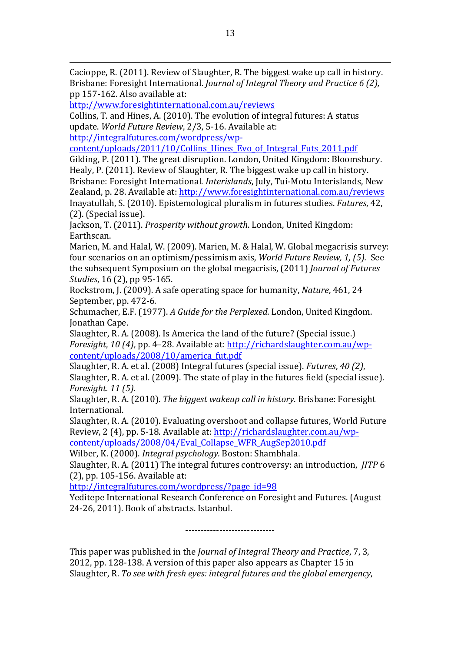Cacioppe, R. (2011). Review of Slaughter, R. The biggest wake up call in history. Brisbane: Foresight International. *Journal of Integral Theory and Practice 6 (2)*, pp 157-162. Also available at:

http://www.foresightinternational.com.au/reviews

Collins, T. and Hines, A. (2010). The evolution of integral futures: A status update. World Future Review, 2/3, 5-16. Available at:

http://integralfutures.com/wordpress/wp-

content/uploads/2011/10/Collins\_Hines\_Evo\_of\_Integral\_Futs\_2011.pdf

Gilding, P. (2011). The great disruption. London, United Kingdom: Bloomsbury. Healy, P. (2011). Review of Slaughter, R. The biggest wake up call in history. Brisbane: Foresight International. *Interislands*, July, Tui-Motu Interislands, New Zealand, p. 28. Available at: http://www.foresightinternational.com.au/reviews

Inayatullah, S. (2010). Epistemological pluralism in futures studies. *Futures*, 42,  $(2)$ . (Special issue).

Jackson, T. (2011). *Prosperity without growth*. London, United Kingdom: Earthscan.

Marien, M. and Halal, W. (2009). Marien, M. & Halal, W. Global megacrisis survey: four scenarios on an optimism/pessimism axis, *World Future Review, 1, (5)*. See the subsequent Symposium on the global megacrisis, (2011) *Journal of Futures Studies*, 16 (2), pp 95-165.

Rockstrom, J. (2009). A safe operating space for humanity, *Nature*, 461, 24 September, pp. 472-6.

Schumacher, E.F. (1977). *A Guide for the Perplexed*. London, United Kingdom. Jonathan Cape.

Slaughter, R. A. (2008). Is America the land of the future? (Special issue.) *Foresight, 10 (4), pp. 4–28. Available at: http://richardslaughter.com.au/wp*content/uploads/2008/10/america\_fut.pdf

Slaughter, R. A. et al. (2008) Integral futures (special issue). *Futures*, 40 (2), Slaughter, R. A. et al.  $(2009)$ . The state of play in the futures field (special issue). *Foresight. 11 (5).*

Slaughter, R. A. (2010). The biggest wakeup call in history. Brisbane: Foresight International.

Slaughter, R. A. (2010). Evaluating overshoot and collapse futures, World Future Review, 2 (4), pp. 5-18. Available at: http://richardslaughter.com.au/wp-

content/uploads/2008/04/Eval\_Collapse\_WFR\_AugSep2010.pdf

Wilber, K. (2000). *Integral psychology*. Boston: Shambhala.

Slaughter, R. A. (2011) The integral futures controversy: an introduction, *JITP* 6  $(2)$ , pp. 105-156. Available at:

http://integralfutures.com/wordpress/?page\_id=98

Yeditepe International Research Conference on Foresight and Futures. (August 24-26, 2011). Book of abstracts. Istanbul.

-----------------------------

This paper was published in the *Journal of Integral Theory and Practice*, 7, 3, 2012, pp. 128-138. A version of this paper also appears as Chapter 15 in Slaughter, R. To see with fresh eyes: integral futures and the global emergency,

<u> 1989 - Andrea San Andrea San Andrea San Andrea San Andrea San Andrea San Andrea San Andrea San Andrea San An</u>